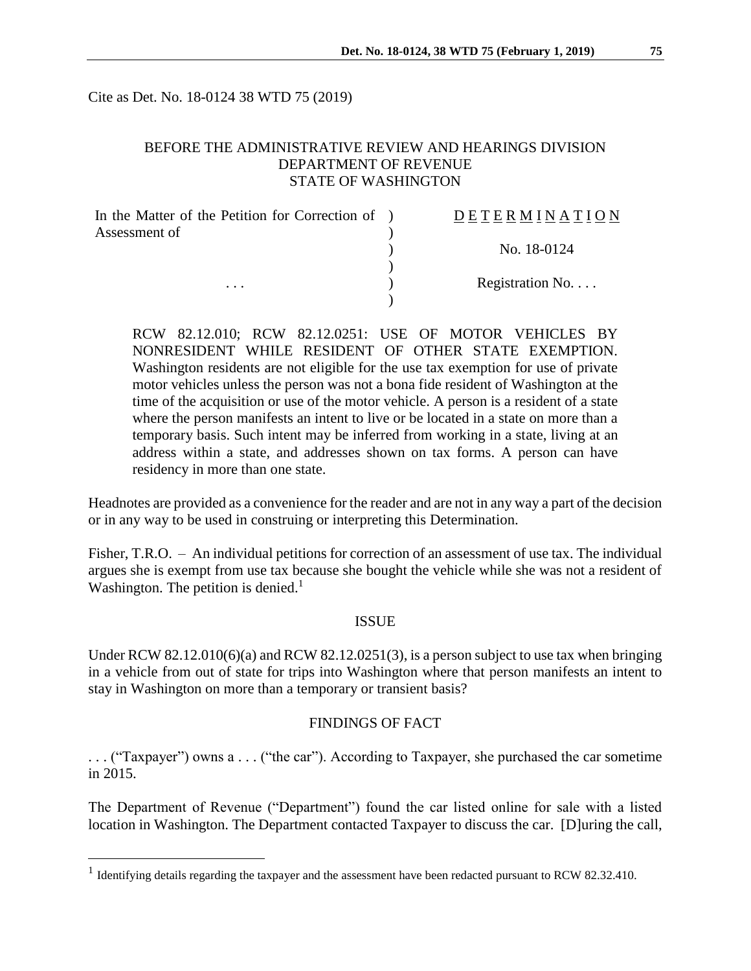Cite as Det. No. 18-0124 38 WTD 75 (2019)

## BEFORE THE ADMINISTRATIVE REVIEW AND HEARINGS DIVISION DEPARTMENT OF REVENUE STATE OF WASHINGTON

| In the Matter of the Petition for Correction of ) | DETERMINATION   |
|---------------------------------------------------|-----------------|
| Assessment of                                     |                 |
|                                                   | No. 18-0124     |
|                                                   |                 |
| $\cdots$                                          | Registration No |
|                                                   |                 |

RCW 82.12.010; RCW 82.12.0251: USE OF MOTOR VEHICLES BY NONRESIDENT WHILE RESIDENT OF OTHER STATE EXEMPTION. Washington residents are not eligible for the use tax exemption for use of private motor vehicles unless the person was not a bona fide resident of Washington at the time of the acquisition or use of the motor vehicle. A person is a resident of a state where the person manifests an intent to live or be located in a state on more than a temporary basis. Such intent may be inferred from working in a state, living at an address within a state, and addresses shown on tax forms. A person can have residency in more than one state.

Headnotes are provided as a convenience for the reader and are not in any way a part of the decision or in any way to be used in construing or interpreting this Determination.

Fisher, T.R.O. – An individual petitions for correction of an assessment of use tax. The individual argues she is exempt from use tax because she bought the vehicle while she was not a resident of Washington. The petition is denied.<sup>1</sup>

#### ISSUE

Under RCW 82.12.010(6)(a) and RCW 82.12.0251(3), is a person subject to use tax when bringing in a vehicle from out of state for trips into Washington where that person manifests an intent to stay in Washington on more than a temporary or transient basis?

### FINDINGS OF FACT

. . . ("Taxpayer") owns a . . . ("the car"). According to Taxpayer, she purchased the car sometime in 2015.

The Department of Revenue ("Department") found the car listed online for sale with a listed location in Washington. The Department contacted Taxpayer to discuss the car. [D]uring the call,

 $\overline{a}$ 

<sup>&</sup>lt;sup>1</sup> Identifying details regarding the taxpayer and the assessment have been redacted pursuant to RCW 82.32.410.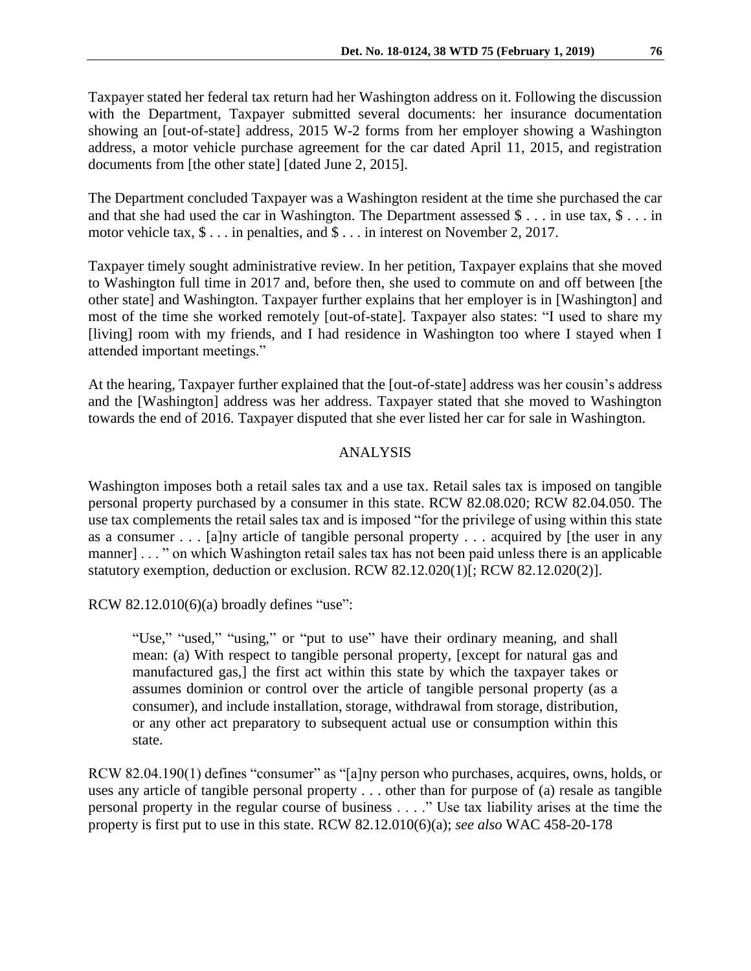Taxpayer stated her federal tax return had her Washington address on it. Following the discussion with the Department, Taxpayer submitted several documents: her insurance documentation showing an [out-of-state] address, 2015 W-2 forms from her employer showing a Washington address, a motor vehicle purchase agreement for the car dated April 11, 2015, and registration documents from [the other state] [dated June 2, 2015].

The Department concluded Taxpayer was a Washington resident at the time she purchased the car and that she had used the car in Washington. The Department assessed  $\frac{1}{2}$ ... in use tax,  $\frac{1}{2}$ ... in motor vehicle tax, \$ . . . in penalties, and \$ . . . in interest on November 2, 2017.

Taxpayer timely sought administrative review. In her petition, Taxpayer explains that she moved to Washington full time in 2017 and, before then, she used to commute on and off between [the other state] and Washington. Taxpayer further explains that her employer is in [Washington] and most of the time she worked remotely [out-of-state]. Taxpayer also states: "I used to share my [living] room with my friends, and I had residence in Washington too where I stayed when I attended important meetings."

At the hearing, Taxpayer further explained that the [out-of-state] address was her cousin's address and the [Washington] address was her address. Taxpayer stated that she moved to Washington towards the end of 2016. Taxpayer disputed that she ever listed her car for sale in Washington.

### ANALYSIS

Washington imposes both a retail sales tax and a use tax. Retail sales tax is imposed on tangible personal property purchased by a consumer in this state. RCW 82.08.020; RCW 82.04.050. The use tax complements the retail sales tax and is imposed "for the privilege of using within this state as a consumer . . . [a]ny article of tangible personal property . . . acquired by [the user in any manner] . . . " on which Washington retail sales tax has not been paid unless there is an applicable statutory exemption, deduction or exclusion. RCW 82.12.020(1)[; RCW 82.12.020(2)].

RCW  $82.12.010(6)(a)$  broadly defines "use":

"Use," "used," "using," or "put to use" have their ordinary meaning, and shall mean: (a) With respect to tangible personal property, [except for natural gas and manufactured gas,] the first act within this state by which the taxpayer takes or assumes dominion or control over the article of tangible personal property (as a consumer), and include installation, storage, withdrawal from storage, distribution, or any other act preparatory to subsequent actual use or consumption within this state.

RCW 82.04.190(1) defines "consumer" as "[a]ny person who purchases, acquires, owns, holds, or uses any article of tangible personal property . . . other than for purpose of (a) resale as tangible personal property in the regular course of business . . . ." Use tax liability arises at the time the property is first put to use in this state. RCW 82.12.010(6)(a); *see also* WAC 458-20-178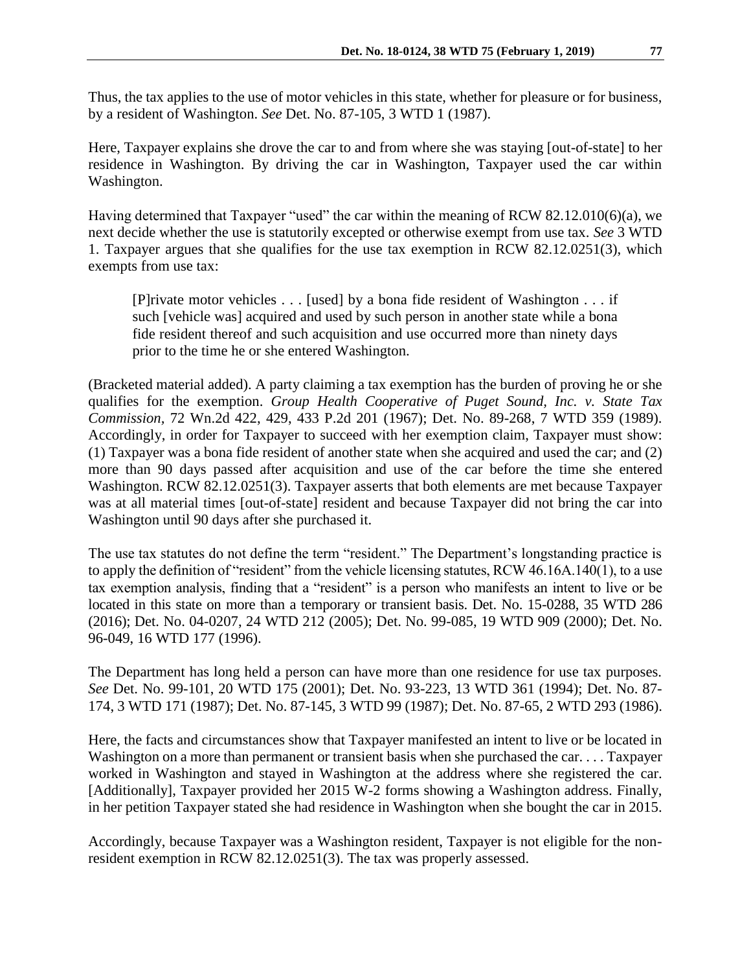Thus, the tax applies to the use of motor vehicles in this state, whether for pleasure or for business, by a resident of Washington. *See* Det. No. 87-105, 3 WTD 1 (1987).

Here, Taxpayer explains she drove the car to and from where she was staying [out-of-state] to her residence in Washington. By driving the car in Washington, Taxpayer used the car within Washington.

Having determined that Taxpayer "used" the car within the meaning of RCW 82.12.010(6)(a), we next decide whether the use is statutorily excepted or otherwise exempt from use tax. *See* 3 WTD 1. Taxpayer argues that she qualifies for the use tax exemption in RCW 82.12.0251(3), which exempts from use tax:

[P]rivate motor vehicles . . . [used] by a bona fide resident of Washington . . . if such [vehicle was] acquired and used by such person in another state while a bona fide resident thereof and such acquisition and use occurred more than ninety days prior to the time he or she entered Washington.

(Bracketed material added). A party claiming a tax exemption has the burden of proving he or she qualifies for the exemption. *Group Health Cooperative of Puget Sound, Inc. v. State Tax Commission,* 72 Wn.2d 422, 429, 433 P.2d 201 (1967); Det. No. 89-268, 7 WTD 359 (1989). Accordingly, in order for Taxpayer to succeed with her exemption claim, Taxpayer must show: (1) Taxpayer was a bona fide resident of another state when she acquired and used the car; and (2) more than 90 days passed after acquisition and use of the car before the time she entered Washington. RCW 82.12.0251(3). Taxpayer asserts that both elements are met because Taxpayer was at all material times [out-of-state] resident and because Taxpayer did not bring the car into Washington until 90 days after she purchased it.

The use tax statutes do not define the term "resident." The Department's longstanding practice is to apply the definition of "resident" from the vehicle licensing statutes, RCW 46.16A.140(1), to a use tax exemption analysis, finding that a "resident" is a person who manifests an intent to live or be located in this state on more than a temporary or transient basis. Det. No. 15-0288, 35 WTD 286 (2016); Det. No. 04-0207, 24 WTD 212 (2005); Det. No. 99-085, 19 WTD 909 (2000); Det. No. 96-049, 16 WTD 177 (1996).

The Department has long held a person can have more than one residence for use tax purposes. *See* Det. No. 99-101, 20 WTD 175 (2001); Det. No. 93-223, 13 WTD 361 (1994); Det. No. 87- 174, 3 WTD 171 (1987); Det. No. 87-145, 3 WTD 99 (1987); Det. No. 87-65, 2 WTD 293 (1986).

Here, the facts and circumstances show that Taxpayer manifested an intent to live or be located in Washington on a more than permanent or transient basis when she purchased the car. . . . Taxpayer worked in Washington and stayed in Washington at the address where she registered the car. [Additionally], Taxpayer provided her 2015 W-2 forms showing a Washington address. Finally, in her petition Taxpayer stated she had residence in Washington when she bought the car in 2015.

Accordingly, because Taxpayer was a Washington resident, Taxpayer is not eligible for the nonresident exemption in RCW 82.12.0251(3). The tax was properly assessed.